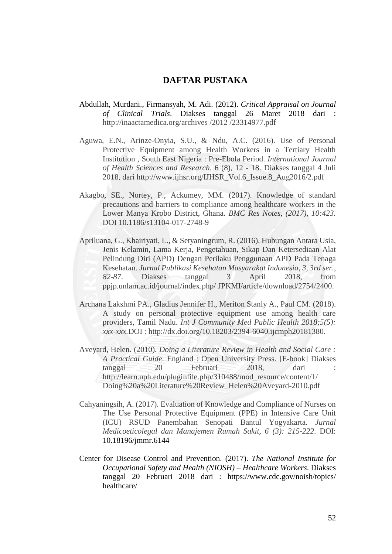## **DAFTAR PUSTAKA**

- Abdullah, Murdani., Firmansyah, M. Adi. (2012). *Critical Appraisal on Journal of Clinical Trials*. Diakses tanggal 26 Maret 2018 dari : [http://inaactamedica.org/archives /2012 /23314977.pdf](http://inaactamedica.org/archives%20/2012%20/23314977.pdf)
- Aguwa, E.N., Arinze-Onyia, S.U., & Ndu, A.C. (2016). Use of Personal Protective Equipment among Health Workers in a Tertiary Health Institution , South East Nigeria : Pre-Ebola Period. *International Journal of Health Sciences and Research*, 6 (8), 12 - 18. Diakses tanggal 4 Juli 2018, dari [http://www.ijhsr.org/IJHSR\\_Vol.6\\_Issue.8\\_Aug2016/2.pdf](http://www.ijhsr.org/IJHSR_Vol.6_Issue.8_Aug2016/2.pdf)
- Akagbo, SE., Nortey, P., Ackumey, MM. (2017). Knowledge of standard precautions and barriers to compliance among healthcare workers in the Lower Manya Krobo District, Ghana. *BMC Res Notes, (2017), 10:423.* DOI 10.1186/s13104-017-2748-9
- Apriluana, G., Khairiyati, L., & Setyaningrum, R. (2016). Hubungan Antara Usia, Jenis Kelamin, Lama Kerja, Pengetahuan, Sikap Dan Ketersediaan Alat Pelindung Diri (APD) Dengan Perilaku Penggunaan APD Pada Tenaga Kesehatan. *Jurnal Publikasi Kesehatan Masyarakat Indonesia*, *3, 3rd ser., 82-87*. Diakses tanggal 3 April 2018, from ppjp.unlam.ac.id/journal/index.php/ JPKMI/article/download/2754/2400.
- Archana Lakshmi PA., Gladius Jennifer H., Meriton Stanly A., Paul CM. (2018). A study on personal protective equipment use among health care providers, Tamil Nadu. *Int J Community Med Public Health 2018;5(5): xxx-xxx.*DOI : http://dx.doi.org/10.18203/2394-6040.ijcmph20181380.
- Aveyard, Helen. (2010). *Doing a Literature Review in Health and Social Care : A Practical Guide*. England : Open University Press. [E-book] Diakses tanggal 20 Februari 2018, dari : [http://learn.uph.edu/pluginfile.php/310488/mod\\_resource/content/1/](http://learn.uph.edu/pluginfile.php/310488/mod_resource/content/1/%20Doing%20a%20Literature%20Review_Helen%20Aveyard-2010.pdf) [Doing%20a%20Literature%20Review\\_Helen%20Aveyard-2010.pdf](http://learn.uph.edu/pluginfile.php/310488/mod_resource/content/1/%20Doing%20a%20Literature%20Review_Helen%20Aveyard-2010.pdf)
- Cahyaningsih, A. (2017). Evaluation of Knowledge and Compliance of Nurses on The Use Personal Protective Equipment (PPE) in Intensive Care Unit (ICU) RSUD Panembahan Senopati Bantul Yogyakarta. *Jurnal Medicoeticolegal dan Manajemen Rumah Sakit, 6 (3): 215-222*. DOI: 10.18196/jmmr.6144
- Center for Disease Control and Prevention. (2017). *The National Institute for Occupational Safety and Health (NIOSH) – Healthcare Workers*. Diakses tanggal 20 Februari 2018 dari : [https://www.cdc.gov/noish/topics/](https://www.cdc.gov/noish/topics/%20healthcare/)  [healthcare/](https://www.cdc.gov/noish/topics/%20healthcare/)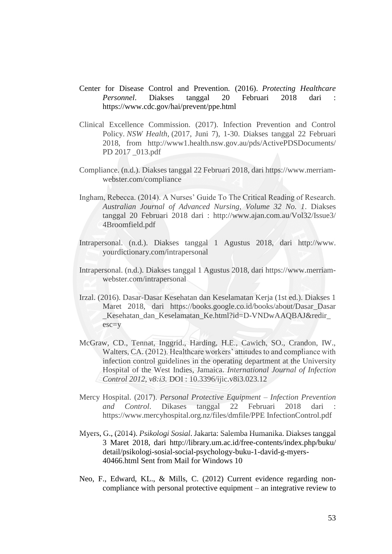- Center for Disease Control and Prevention. (2016). *Protecting Healthcare*  Personnel. Diakses tanggal 20 Februari 2018 dari <https://www.cdc.gov/hai/prevent/ppe.html>
- Clinical Excellence Commission. (2017). Infection Prevention and Control Policy. *NSW Health*, (2017, Juni 7), 1-30. Diakses tanggal 22 Februari 2018, from [http://www1.health.nsw.gov.au/pds/ActivePDSDocuments/](http://www1.health.nsw.gov.au/pds/ActivePDSDocuments/%20PD%202017%20_013.pdf)  [PD 2017 \\_013.pdf](http://www1.health.nsw.gov.au/pds/ActivePDSDocuments/%20PD%202017%20_013.pdf)
- Compliance. (n.d.). Diakses tanggal 22 Februari 2018, dari https://www.merriamwebster.com/compliance
- Ingham, Rebecca. (2014). A Nurses' Guide To The Critical Reading of Research. *Australian Journal of Advanced Nursing, Volume 32 No. 1*. Diakses tanggal 20 Februari 2018 dari : [http://www.ajan.com.au/Vol32/Issue3/](http://www.ajan.com.au/Vol32/Issue3/%204Broomfield.pdf)  [4Broomfield.pdf](http://www.ajan.com.au/Vol32/Issue3/%204Broomfield.pdf)
- Intrapersonal. (n.d.). Diakses tanggal 1 Agustus 2018, dari http://www. yourdictionary.com/intrapersonal
- Intrapersonal. (n.d.). Diakses tanggal 1 Agustus 2018, dari https://www.merriamwebster.com/intrapersonal
- Irzal. (2016). Dasar-Dasar Kesehatan dan Keselamatan Kerja (1st ed.). Diakses 1 Maret 2018, dari [https://books.google.co.id/books/about/Dasar\\_Dasar](https://books.google.co.id/books/about/Dasar_Dasar) \_Kesehatan\_dan\_Keselamatan\_Ke.html?id=D-VNDwAAQBAJ&redir\_ esc=y
- McGraw, CD., Tennat, Inggrid., Harding, H.E., Cawich, SO., Crandon, IW., Walters, CA. (2012). Healthcare workers' attitudes to and compliance with infection control guidelines in the operating department at the University Hospital of the West Indies, Jamaica. *International Journal of Infection Control 2012, v8:i3.* DOI : 10.3396/ijic.v8i3.023.12
- Mercy Hospital. (2017). *Personal Protective Equipment – Infection Prevention and Control*. Dikases tanggal 22 Februari 2018 dari : [https://www.mercyhospital.org.nz/files/dmfile/PPE InfectionControl.pdf](https://www.mercyhospital.org.nz/files/dmfile/PPE%20InfectionControl.pdf)
- Myers, G., (2014). *Psikologi Sosial*. Jakarta: Salemba Humanika. Diakses tanggal 3 Maret 2018, dari [http://library.um.ac.id/free-contents/index.php/buku/](http://library.um.ac.id/free-contents/index.php/buku/%20detail/)  [detail/p](http://library.um.ac.id/free-contents/index.php/buku/%20detail/)sikologi-sosial-social-psychology-buku-1-david-g-myers-40466.html Sent from Mail for Windows 10
- Neo, F., Edward, KL., & Mills, C. (2012) Current evidence regarding noncompliance with personal protective equipment – an integrative review to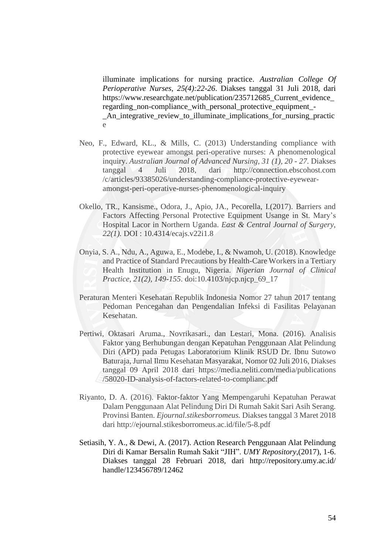illuminate implications for nursing practice. *Australian College Of Perioperative Nurses, 25(4):22-26*. Diakses tanggal 31 Juli 2018, dari https://www.researchgate.net/publication/235712685 Current evidence regarding non-compliance with personal protective equipment -\_An\_integrative\_review\_to\_illuminate\_implications\_for\_nursing\_practic e

- Neo, F., Edward, KL., & Mills, C. (2013) Understanding compliance with protective eyewear amongst peri-operative nurses: A phenomenological inquiry. *Australian Journal of Advanced Nursing, 31 (1), 20 - 27*. Diakses tanggal 4 Juli 2018, dari http://connection.ebscohost.com /c/articles/93385026/understanding-compliance-protective-eyewearamongst-peri-operative-nurses-phenomenological-inquiry
- Okello, TR., Kansisme., Odora, J., Apio, JA., Pecorella, I.(2017). Barriers and Factors Affecting Personal Protective Equipment Usange in St. Mary's Hospital Lacor in Northern Uganda. *East & Central Journal of Surgery, 22(1).* DOI : 10.4314/ecajs.v22i1.8
- Onyia, S. A., Ndu, A., Aguwa, E., Modebe, I., & Nwamoh, U. (2018). Knowledge and Practice of Standard Precautions by Health-Care Workers in a Tertiary Health Institution in Enugu, Nigeria. *Nigerian Journal of Clinical Practice, 21(2), 149-155*. doi:10.4103/njcp.njcp\_69\_17
- Peraturan Menteri Kesehatan Republik Indonesia Nomor 27 tahun 2017 tentang Pedoman Pencegahan dan Pengendalian Infeksi di Fasilitas Pelayanan Kesehatan.
- Pertiwi, Oktasari Aruma., Novrikasari., dan Lestari, Mona. (2016). Analisis Faktor yang Berhubungan dengan Kepatuhan Penggunaan Alat Pelindung Diri (APD) pada Petugas Laboratorium Klinik RSUD Dr. Ibnu Sutowo Baturaja, Jurnal Ilmu Kesehatan Masyarakat, Nomor 02 Juli 2016, Diakses tanggal 09 April 2018 dari [https://media.neliti.com/media/publications](https://media.neliti.com/media/publications%20/58020-ID-analysis-of-factors-related-to-complianc.pdf) [/58020-ID-analysis-of-factors-related-to-complianc.pdf](https://media.neliti.com/media/publications%20/58020-ID-analysis-of-factors-related-to-complianc.pdf)
- Riyanto, D. A. (2016). Faktor-faktor Yang Mempengaruhi Kepatuhan Perawat Dalam Penggunaan Alat Pelindung Diri Di Rumah Sakit Sari Asih Serang. Provinsi Banten. *Ejournal.stikesborromeus.* Diakses tanggal 3 Maret 2018 dari<http://ejournal.stikesborromeus.ac.id/file/5-8.pdf>
- Setiasih, Y. A., & Dewi, A. (2017). Action Research Penggunaan Alat Pelindung Diri di Kamar Bersalin Rumah Sakit "JIH". *UMY Repository*,(2017), 1-6. Diakses tanggal 28 Februari 2018, dari [http://repository.umy.ac.id/](http://repository.umy.ac.id/%20handle/123456789/12462)  [handle/123456789/12462](http://repository.umy.ac.id/%20handle/123456789/12462)